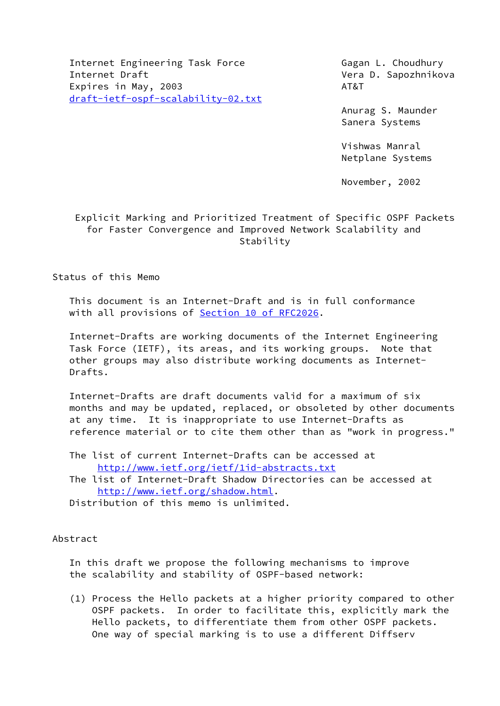Internet Engineering Task Force Gagan L. Choudhury Internet Draft Vera D. Sapozhnikova Expires in May, 2003 AT&T [draft-ietf-ospf-scalability-02.txt](https://datatracker.ietf.org/doc/pdf/draft-ietf-ospf-scalability-02.txt)

 Anurag S. Maunder Sanera Systems

 Vishwas Manral Netplane Systems

November, 2002

# Explicit Marking and Prioritized Treatment of Specific OSPF Packets for Faster Convergence and Improved Network Scalability and Stability

# Status of this Memo

 This document is an Internet-Draft and is in full conformance with all provisions of Section [10 of RFC2026.](https://datatracker.ietf.org/doc/pdf/rfc2026#section-10)

 Internet-Drafts are working documents of the Internet Engineering Task Force (IETF), its areas, and its working groups. Note that other groups may also distribute working documents as Internet- Drafts.

 Internet-Drafts are draft documents valid for a maximum of six months and may be updated, replaced, or obsoleted by other documents at any time. It is inappropriate to use Internet-Drafts as reference material or to cite them other than as "work in progress."

 The list of current Internet-Drafts can be accessed at <http://www.ietf.org/ietf/1id-abstracts.txt>

 The list of Internet-Draft Shadow Directories can be accessed at <http://www.ietf.org/shadow.html>.

Distribution of this memo is unlimited.

## Abstract

 In this draft we propose the following mechanisms to improve the scalability and stability of OSPF-based network:

 (1) Process the Hello packets at a higher priority compared to other OSPF packets. In order to facilitate this, explicitly mark the Hello packets, to differentiate them from other OSPF packets. One way of special marking is to use a different Diffserv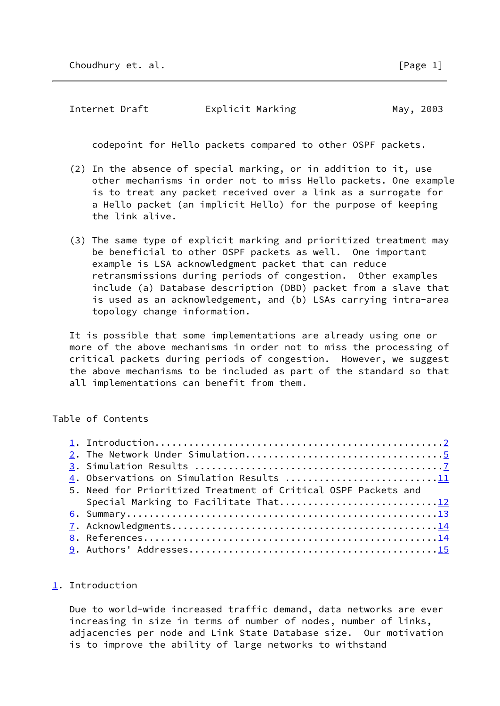<span id="page-1-1"></span>Internet Draft **Explicit Marking May, 2003** 

codepoint for Hello packets compared to other OSPF packets.

- (2) In the absence of special marking, or in addition to it, use other mechanisms in order not to miss Hello packets. One example is to treat any packet received over a link as a surrogate for a Hello packet (an implicit Hello) for the purpose of keeping the link alive.
- (3) The same type of explicit marking and prioritized treatment may be beneficial to other OSPF packets as well. One important example is LSA acknowledgment packet that can reduce retransmissions during periods of congestion. Other examples include (a) Database description (DBD) packet from a slave that is used as an acknowledgement, and (b) LSAs carrying intra-area topology change information.

 It is possible that some implementations are already using one or more of the above mechanisms in order not to miss the processing of critical packets during periods of congestion. However, we suggest the above mechanisms to be included as part of the standard so that all implementations can benefit from them.

## Table of Contents

| 4. Observations on Simulation Results 11                       |  |
|----------------------------------------------------------------|--|
| 5. Need for Prioritized Treatment of Critical OSPF Packets and |  |
| Special Marking to Facilitate That12                           |  |
|                                                                |  |
|                                                                |  |
|                                                                |  |
|                                                                |  |

## <span id="page-1-0"></span>[1](#page-1-0). Introduction

 Due to world-wide increased traffic demand, data networks are ever increasing in size in terms of number of nodes, number of links, adjacencies per node and Link State Database size. Our motivation is to improve the ability of large networks to withstand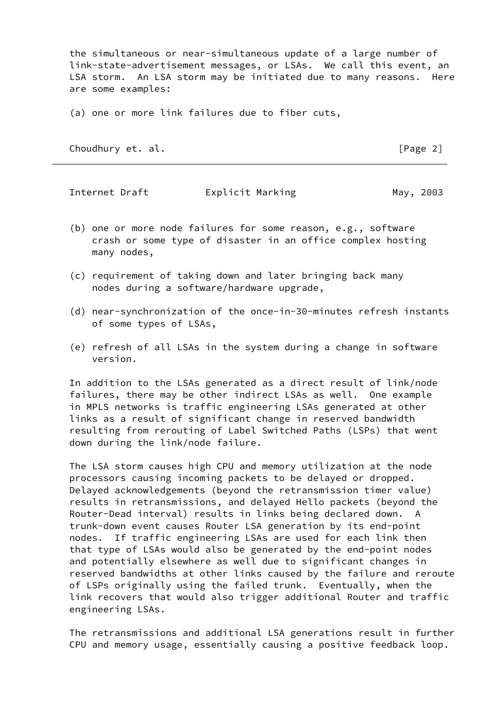the simultaneous or near-simultaneous update of a large number of link-state-advertisement messages, or LSAs. We call this event, an LSA storm. An LSA storm may be initiated due to many reasons. Here are some examples:

(a) one or more link failures due to fiber cuts,

Choudhury et. al. [Page 2]

Internet Draft **Explicit Marking Communist Communist** May, 2003

- (b) one or more node failures for some reason, e.g., software crash or some type of disaster in an office complex hosting many nodes,
- (c) requirement of taking down and later bringing back many nodes during a software/hardware upgrade,
- (d) near-synchronization of the once-in-30-minutes refresh instants of some types of LSAs,
- (e) refresh of all LSAs in the system during a change in software version.

 In addition to the LSAs generated as a direct result of link/node failures, there may be other indirect LSAs as well. One example in MPLS networks is traffic engineering LSAs generated at other links as a result of significant change in reserved bandwidth resulting from rerouting of Label Switched Paths (LSPs) that went down during the link/node failure.

 The LSA storm causes high CPU and memory utilization at the node processors causing incoming packets to be delayed or dropped. Delayed acknowledgements (beyond the retransmission timer value) results in retransmissions, and delayed Hello packets (beyond the Router-Dead interval) results in links being declared down. A trunk-down event causes Router LSA generation by its end-point nodes. If traffic engineering LSAs are used for each link then that type of LSAs would also be generated by the end-point nodes and potentially elsewhere as well due to significant changes in reserved bandwidths at other links caused by the failure and reroute of LSPs originally using the failed trunk. Eventually, when the link recovers that would also trigger additional Router and traffic engineering LSAs.

 The retransmissions and additional LSA generations result in further CPU and memory usage, essentially causing a positive feedback loop.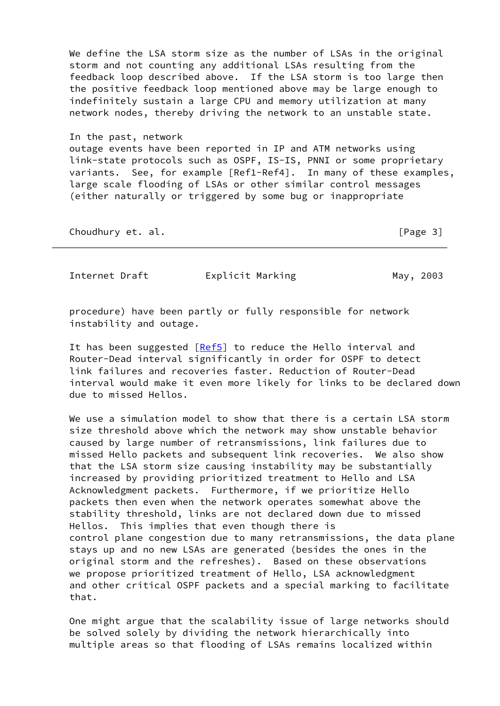We define the LSA storm size as the number of LSAs in the original storm and not counting any additional LSAs resulting from the feedback loop described above. If the LSA storm is too large then the positive feedback loop mentioned above may be large enough to indefinitely sustain a large CPU and memory utilization at many network nodes, thereby driving the network to an unstable state.

 In the past, network outage events have been reported in IP and ATM networks using link-state protocols such as OSPF, IS-IS, PNNI or some proprietary variants. See, for example [Ref1-Ref4]. In many of these examples, large scale flooding of LSAs or other similar control messages (either naturally or triggered by some bug or inappropriate

Choudhury et. al. [Page 3]

Internet Draft **Explicit Marking** May, 2003

 procedure) have been partly or fully responsible for network instability and outage.

It has been suggested  $[Ref5]$  $[Ref5]$  to reduce the Hello interval and Router-Dead interval significantly in order for OSPF to detect link failures and recoveries faster. Reduction of Router-Dead interval would make it even more likely for links to be declared down due to missed Hellos.

 We use a simulation model to show that there is a certain LSA storm size threshold above which the network may show unstable behavior caused by large number of retransmissions, link failures due to missed Hello packets and subsequent link recoveries. We also show that the LSA storm size causing instability may be substantially increased by providing prioritized treatment to Hello and LSA Acknowledgment packets. Furthermore, if we prioritize Hello packets then even when the network operates somewhat above the stability threshold, links are not declared down due to missed Hellos. This implies that even though there is control plane congestion due to many retransmissions, the data plane stays up and no new LSAs are generated (besides the ones in the original storm and the refreshes). Based on these observations we propose prioritized treatment of Hello, LSA acknowledgment and other critical OSPF packets and a special marking to facilitate that.

 One might argue that the scalability issue of large networks should be solved solely by dividing the network hierarchically into multiple areas so that flooding of LSAs remains localized within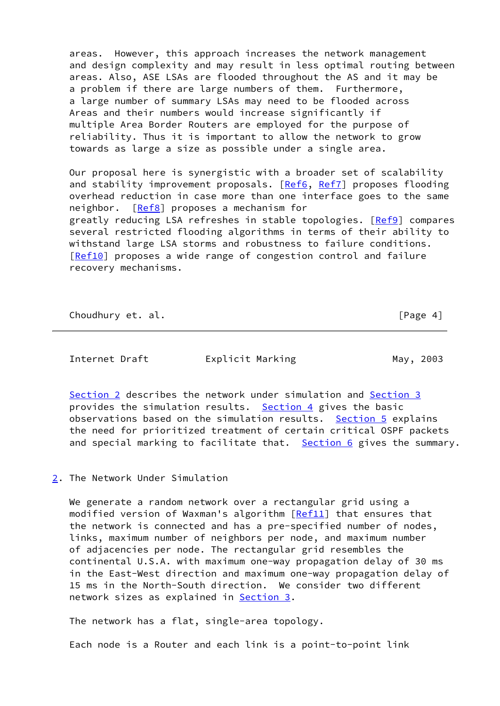areas. However, this approach increases the network management and design complexity and may result in less optimal routing between areas. Also, ASE LSAs are flooded throughout the AS and it may be a problem if there are large numbers of them. Furthermore, a large number of summary LSAs may need to be flooded across Areas and their numbers would increase significantly if multiple Area Border Routers are employed for the purpose of reliability. Thus it is important to allow the network to grow towards as large a size as possible under a single area.

 Our proposal here is synergistic with a broader set of scalability and stability improvement proposals. [\[Ref6](#page-15-4), [Ref7\]](#page-15-5) proposes flooding overhead reduction in case more than one interface goes to the same neighbor. [[Ref8\]](#page-15-6) proposes a mechanism for greatly reducing LSA refreshes in stable topologies. [\[Ref9](#page-15-7)] compares several restricted flooding algorithms in terms of their ability to withstand large LSA storms and robustness to failure conditions. [\[Ref10](#page-16-1)] proposes a wide range of congestion control and failure recovery mechanisms.

Choudhury et. al. **Example 20** and the set of  $\left[\text{Page } 4\right]$ 

<span id="page-4-1"></span>Internet Draft **Explicit Marking May, 2003** 

 [Section 2](#page-4-0) describes the network under simulation and [Section 3](#page-7-0) provides the simulation results. [Section 4](#page-11-0) gives the basic observations based on the simulation results. [Section 5](#page-12-1) explains the need for prioritized treatment of certain critical OSPF packets and special marking to facilitate that. [Section 6](#page-13-0) gives the summary.

## <span id="page-4-0"></span>[2](#page-4-0). The Network Under Simulation

 We generate a random network over a rectangular grid using a modified version of Waxman's algorithm [\[Ref11](#page-16-2)] that ensures that the network is connected and has a pre-specified number of nodes, links, maximum number of neighbors per node, and maximum number of adjacencies per node. The rectangular grid resembles the continental U.S.A. with maximum one-way propagation delay of 30 ms in the East-West direction and maximum one-way propagation delay of 15 ms in the North-South direction. We consider two different network sizes as explained in [Section 3.](#page-7-0)

The network has a flat, single-area topology.

Each node is a Router and each link is a point-to-point link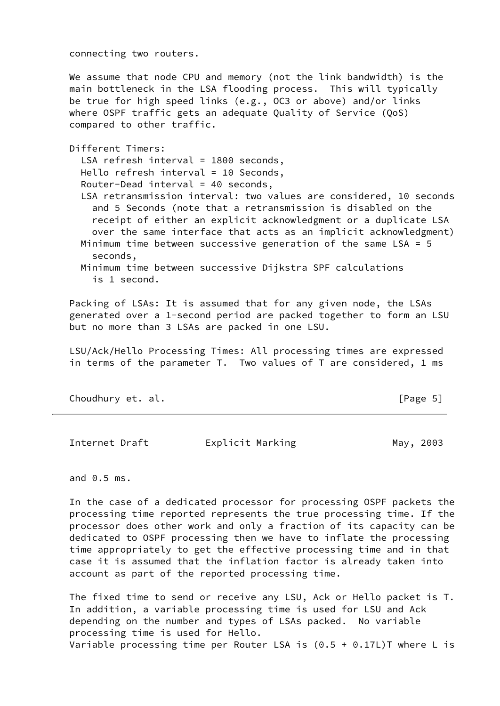connecting two routers.

 We assume that node CPU and memory (not the link bandwidth) is the main bottleneck in the LSA flooding process. This will typically be true for high speed links (e.g., OC3 or above) and/or links where OSPF traffic gets an adequate Quality of Service (QoS) compared to other traffic.

Different Timers:

LSA refresh interval = 1800 seconds,

- Hello refresh interval = 10 Seconds,
- Router-Dead interval = 40 seconds,
- LSA retransmission interval: two values are considered, 10 seconds and 5 Seconds (note that a retransmission is disabled on the receipt of either an explicit acknowledgment or a duplicate LSA over the same interface that acts as an implicit acknowledgment) Minimum time between successive generation of the same LSA = 5

seconds,

 Minimum time between successive Dijkstra SPF calculations is 1 second.

 Packing of LSAs: It is assumed that for any given node, the LSAs generated over a 1-second period are packed together to form an LSU but no more than 3 LSAs are packed in one LSU.

 LSU/Ack/Hello Processing Times: All processing times are expressed in terms of the parameter T. Two values of T are considered, 1 ms

Choudhury et. al. **Example 20** Second 2011 12:30 [Page 5]

Internet Draft **Explicit Marking Communist Communist** May, 2003

and 0.5 ms.

 In the case of a dedicated processor for processing OSPF packets the processing time reported represents the true processing time. If the processor does other work and only a fraction of its capacity can be dedicated to OSPF processing then we have to inflate the processing time appropriately to get the effective processing time and in that case it is assumed that the inflation factor is already taken into account as part of the reported processing time.

 The fixed time to send or receive any LSU, Ack or Hello packet is T. In addition, a variable processing time is used for LSU and Ack depending on the number and types of LSAs packed. No variable processing time is used for Hello. Variable processing time per Router LSA is  $(0.5 + 0.17L)$ T where L is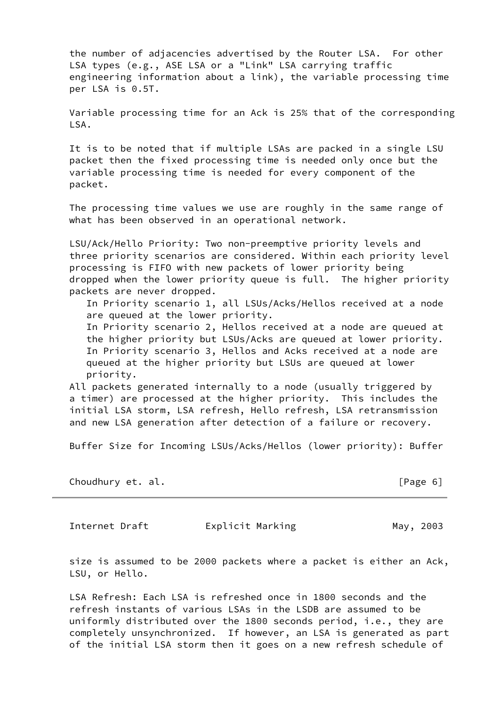the number of adjacencies advertised by the Router LSA. For other LSA types (e.g., ASE LSA or a "Link" LSA carrying traffic engineering information about a link), the variable processing time per LSA is 0.5T.

 Variable processing time for an Ack is 25% that of the corresponding LSA.

 It is to be noted that if multiple LSAs are packed in a single LSU packet then the fixed processing time is needed only once but the variable processing time is needed for every component of the packet.

 The processing time values we use are roughly in the same range of what has been observed in an operational network.

 LSU/Ack/Hello Priority: Two non-preemptive priority levels and three priority scenarios are considered. Within each priority level processing is FIFO with new packets of lower priority being dropped when the lower priority queue is full. The higher priority packets are never dropped.

 In Priority scenario 1, all LSUs/Acks/Hellos received at a node are queued at the lower priority.

 In Priority scenario 2, Hellos received at a node are queued at the higher priority but LSUs/Acks are queued at lower priority. In Priority scenario 3, Hellos and Acks received at a node are queued at the higher priority but LSUs are queued at lower priority.

 All packets generated internally to a node (usually triggered by a timer) are processed at the higher priority. This includes the initial LSA storm, LSA refresh, Hello refresh, LSA retransmission and new LSA generation after detection of a failure or recovery.

Buffer Size for Incoming LSUs/Acks/Hellos (lower priority): Buffer

Choudhury et. al. [Page 6]

<span id="page-6-0"></span>Internet Draft **Explicit Marking May, 2003** 

 size is assumed to be 2000 packets where a packet is either an Ack, LSU, or Hello.

 LSA Refresh: Each LSA is refreshed once in 1800 seconds and the refresh instants of various LSAs in the LSDB are assumed to be uniformly distributed over the 1800 seconds period, i.e., they are completely unsynchronized. If however, an LSA is generated as part of the initial LSA storm then it goes on a new refresh schedule of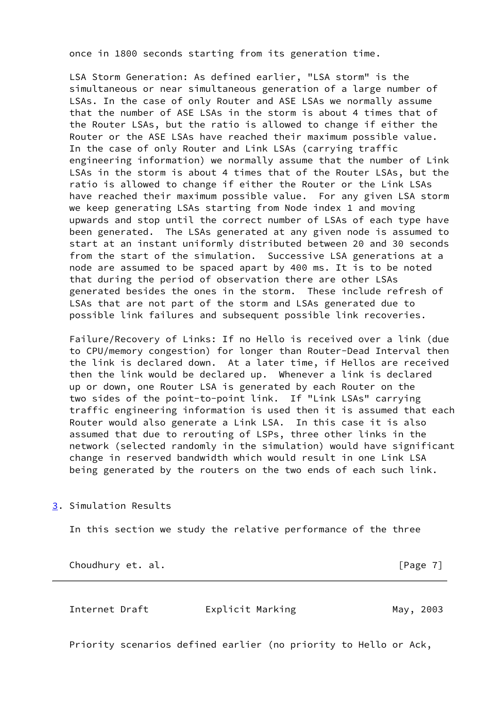once in 1800 seconds starting from its generation time.

 LSA Storm Generation: As defined earlier, "LSA storm" is the simultaneous or near simultaneous generation of a large number of LSAs. In the case of only Router and ASE LSAs we normally assume that the number of ASE LSAs in the storm is about 4 times that of the Router LSAs, but the ratio is allowed to change if either the Router or the ASE LSAs have reached their maximum possible value. In the case of only Router and Link LSAs (carrying traffic engineering information) we normally assume that the number of Link LSAs in the storm is about 4 times that of the Router LSAs, but the ratio is allowed to change if either the Router or the Link LSAs have reached their maximum possible value. For any given LSA storm we keep generating LSAs starting from Node index 1 and moving upwards and stop until the correct number of LSAs of each type have been generated. The LSAs generated at any given node is assumed to start at an instant uniformly distributed between 20 and 30 seconds from the start of the simulation. Successive LSA generations at a node are assumed to be spaced apart by 400 ms. It is to be noted that during the period of observation there are other LSAs generated besides the ones in the storm. These include refresh of LSAs that are not part of the storm and LSAs generated due to possible link failures and subsequent possible link recoveries.

 Failure/Recovery of Links: If no Hello is received over a link (due to CPU/memory congestion) for longer than Router-Dead Interval then the link is declared down. At a later time, if Hellos are received then the link would be declared up. Whenever a link is declared up or down, one Router LSA is generated by each Router on the two sides of the point-to-point link. If "Link LSAs" carrying traffic engineering information is used then it is assumed that each Router would also generate a Link LSA. In this case it is also assumed that due to rerouting of LSPs, three other links in the network (selected randomly in the simulation) would have significant change in reserved bandwidth which would result in one Link LSA being generated by the routers on the two ends of each such link.

<span id="page-7-0"></span>[3](#page-7-0). Simulation Results

In this section we study the relative performance of the three

Choudhury et. al. **Example 20** Section 2014 12:33 [Page 7]

Internet Draft **Explicit Marking Communist Communist** May, 2003

Priority scenarios defined earlier (no priority to Hello or Ack,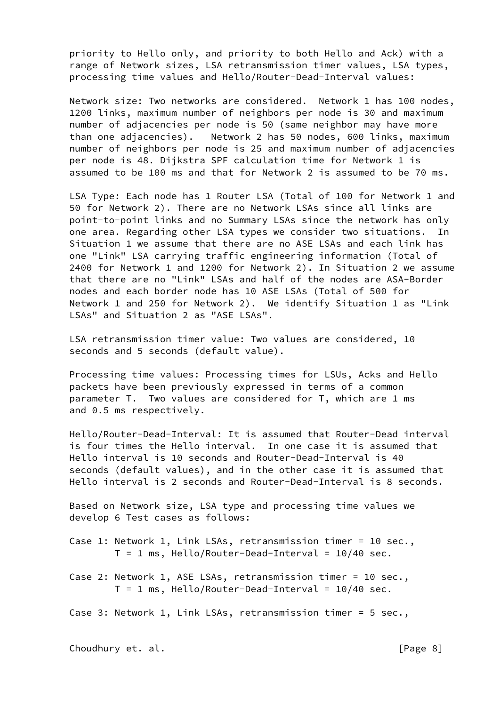priority to Hello only, and priority to both Hello and Ack) with a range of Network sizes, LSA retransmission timer values, LSA types, processing time values and Hello/Router-Dead-Interval values:

 Network size: Two networks are considered. Network 1 has 100 nodes, 1200 links, maximum number of neighbors per node is 30 and maximum number of adjacencies per node is 50 (same neighbor may have more than one adjacencies). Network 2 has 50 nodes, 600 links, maximum number of neighbors per node is 25 and maximum number of adjacencies per node is 48. Dijkstra SPF calculation time for Network 1 is assumed to be 100 ms and that for Network 2 is assumed to be 70 ms.

 LSA Type: Each node has 1 Router LSA (Total of 100 for Network 1 and 50 for Network 2). There are no Network LSAs since all links are point-to-point links and no Summary LSAs since the network has only one area. Regarding other LSA types we consider two situations. In Situation 1 we assume that there are no ASE LSAs and each link has one "Link" LSA carrying traffic engineering information (Total of 2400 for Network 1 and 1200 for Network 2). In Situation 2 we assume that there are no "Link" LSAs and half of the nodes are ASA-Border nodes and each border node has 10 ASE LSAs (Total of 500 for Network 1 and 250 for Network 2). We identify Situation 1 as "Link LSAs" and Situation 2 as "ASE LSAs".

 LSA retransmission timer value: Two values are considered, 10 seconds and 5 seconds (default value).

 Processing time values: Processing times for LSUs, Acks and Hello packets have been previously expressed in terms of a common parameter T. Two values are considered for T, which are 1 ms and 0.5 ms respectively.

 Hello/Router-Dead-Interval: It is assumed that Router-Dead interval is four times the Hello interval. In one case it is assumed that Hello interval is 10 seconds and Router-Dead-Interval is 40 seconds (default values), and in the other case it is assumed that Hello interval is 2 seconds and Router-Dead-Interval is 8 seconds.

 Based on Network size, LSA type and processing time values we develop 6 Test cases as follows:

 Case 1: Network 1, Link LSAs, retransmission timer = 10 sec.,  $T = 1$  ms, Hello/Router-Dead-Interval = 10/40 sec.

 Case 2: Network 1, ASE LSAs, retransmission timer = 10 sec.,  $T = 1$  ms, Hello/Router-Dead-Interval = 10/40 sec.

Case 3: Network 1, Link LSAs, retransmission timer = 5 sec.,

Choudhury et. al. **Example 2** and the set of the set of the set of the set of the set of the set of the set of th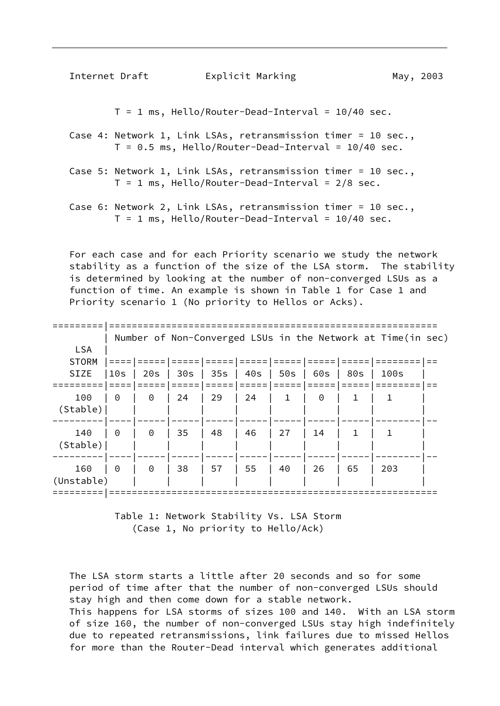Internet Draft **Explicit Marking Communist Contract Contract** May, 2003

 $T = 1$  ms, Hello/Router-Dead-Interval = 10/40 sec.

 Case 4: Network 1, Link LSAs, retransmission timer = 10 sec.,  $T = 0.5$  ms, Hello/Router-Dead-Interval = 10/40 sec.

 Case 5: Network 1, Link LSAs, retransmission timer = 10 sec.,  $T = 1$  ms, Hello/Router-Dead-Interval = 2/8 sec.

 Case 6: Network 2, Link LSAs, retransmission timer = 10 sec.,  $T = 1$  ms, Hello/Router-Dead-Interval = 10/40 sec.

 For each case and for each Priority scenario we study the network stability as a function of the size of the LSA storm. The stability is determined by looking at the number of non-converged LSUs as a function of time. An example is shown in Table 1 for Case 1 and Priority scenario 1 (No priority to Hellos or Acks).

|              | Number of Non-Converged LSUs in the Network at Time(in sec) |          |     |    |                 |    |          |     |      |  |
|--------------|-------------------------------------------------------------|----------|-----|----|-----------------|----|----------|-----|------|--|
| <b>LSA</b>   |                                                             |          |     |    |                 |    |          |     |      |  |
| <b>STORM</b> |                                                             |          |     |    |                 |    |          |     |      |  |
| <b>SIZE</b>  | 10 <sub>S</sub>                                             | 20s      | 30s |    | 35s   40s   50s |    | 60s      | 80s | 100s |  |
|              |                                                             |          |     |    |                 |    |          |     |      |  |
| 100          | $\Theta$                                                    | $\Theta$ | 24  | 29 | 24              | 1  | $\Theta$ | 1   | 1    |  |
| (Stable)     |                                                             |          |     |    |                 |    |          |     |      |  |
| 140          | $\Theta$                                                    | $\Theta$ | 35  | 48 | 46              | 27 | 14       | 1   | 1    |  |
| (Stable)     |                                                             |          |     |    |                 |    |          |     |      |  |
|              |                                                             |          |     |    |                 |    |          |     |      |  |
| 160          | $\Theta$                                                    | $\Theta$ | 38  | 57 | 55              | 40 | 26       | 65  | 203  |  |
| (Unstable)   |                                                             |          |     |    |                 |    |          |     |      |  |
|              |                                                             |          |     |    |                 |    |          |     |      |  |

 Table 1: Network Stability Vs. LSA Storm (Case 1, No priority to Hello/Ack)

 The LSA storm starts a little after 20 seconds and so for some period of time after that the number of non-converged LSUs should stay high and then come down for a stable network. This happens for LSA storms of sizes 100 and 140. With an LSA storm of size 160, the number of non-converged LSUs stay high indefinitely due to repeated retransmissions, link failures due to missed Hellos for more than the Router-Dead interval which generates additional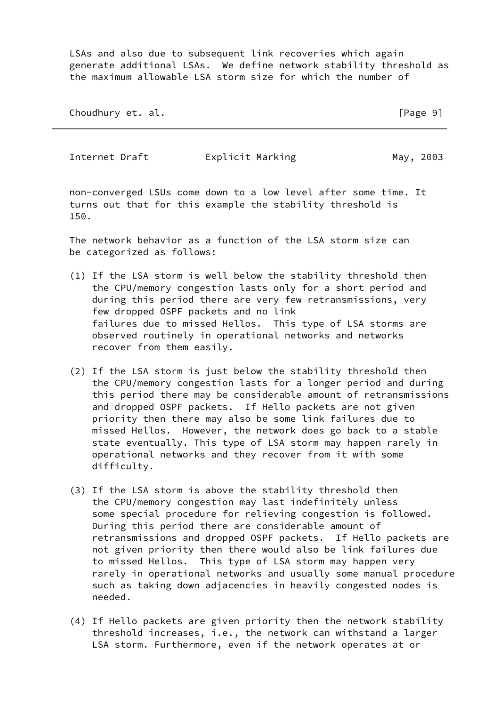LSAs and also due to subsequent link recoveries which again generate additional LSAs. We define network stability threshold as the maximum allowable LSA storm size for which the number of

Choudhury et. al. **Example 20** Second 2011 12:30 Second 2012 12:30 Second 2012 12:30 Second 2013 12:30 Second 2013 12:30 Second 2013 12:30 Second 2013 12:30 Second 2013 12:30 Second 2013 12:30 Second 2013 12:30 Second 2013

Internet Draft **Explicit Marking May, 2003** 

 non-converged LSUs come down to a low level after some time. It turns out that for this example the stability threshold is 150.

 The network behavior as a function of the LSA storm size can be categorized as follows:

- (1) If the LSA storm is well below the stability threshold then the CPU/memory congestion lasts only for a short period and during this period there are very few retransmissions, very few dropped OSPF packets and no link failures due to missed Hellos. This type of LSA storms are observed routinely in operational networks and networks recover from them easily.
- (2) If the LSA storm is just below the stability threshold then the CPU/memory congestion lasts for a longer period and during this period there may be considerable amount of retransmissions and dropped OSPF packets. If Hello packets are not given priority then there may also be some link failures due to missed Hellos. However, the network does go back to a stable state eventually. This type of LSA storm may happen rarely in operational networks and they recover from it with some difficulty.
- (3) If the LSA storm is above the stability threshold then the CPU/memory congestion may last indefinitely unless some special procedure for relieving congestion is followed. During this period there are considerable amount of retransmissions and dropped OSPF packets. If Hello packets are not given priority then there would also be link failures due to missed Hellos. This type of LSA storm may happen very rarely in operational networks and usually some manual procedure such as taking down adjacencies in heavily congested nodes is needed.
- (4) If Hello packets are given priority then the network stability threshold increases, i.e., the network can withstand a larger LSA storm. Furthermore, even if the network operates at or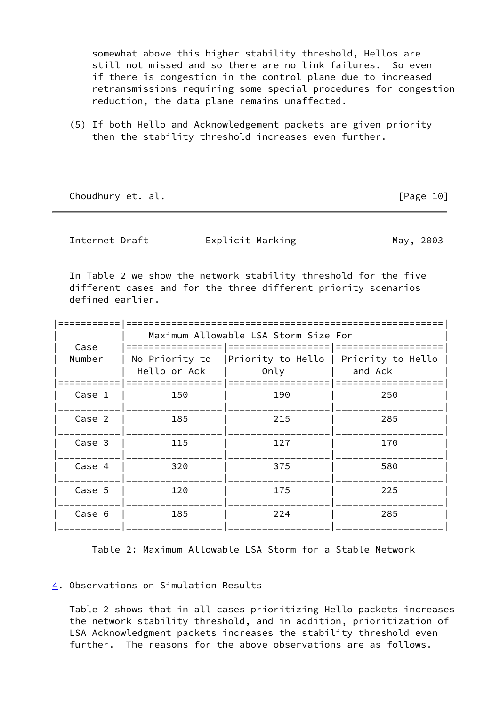somewhat above this higher stability threshold, Hellos are still not missed and so there are no link failures. So even if there is congestion in the control plane due to increased retransmissions requiring some special procedures for congestion reduction, the data plane remains unaffected.

 (5) If both Hello and Acknowledgement packets are given priority then the stability threshold increases even further.

Choudhury et. al. **Example 20** and the choudhury et. al.

<span id="page-11-1"></span>Internet Draft **Explicit Marking May, 2003** 

 In Table 2 we show the network stability threshold for the five different cases and for the three different priority scenarios defined earlier.

|                | Maximum Allowable LSA Storm Size For |                                               |         |  |  |  |  |
|----------------|--------------------------------------|-----------------------------------------------|---------|--|--|--|--|
| Case<br>Number | No Priority to<br>Hello or Ack       | Priority to Hello   Priority to Hello<br>Only | and Ack |  |  |  |  |
| Case 1         | 150                                  | 190                                           | 250     |  |  |  |  |
| Case 2         | 185                                  | 215                                           | 285     |  |  |  |  |
| Case 3         | 115                                  | 127                                           | 170     |  |  |  |  |
| Case 4         | 320                                  | 375                                           | 580     |  |  |  |  |
| Case 5         | 120                                  | 175                                           | 225     |  |  |  |  |
| Case 6         | 185                                  | 224                                           | 285     |  |  |  |  |

Table 2: Maximum Allowable LSA Storm for a Stable Network

# <span id="page-11-0"></span>[4](#page-11-0). Observations on Simulation Results

 Table 2 shows that in all cases prioritizing Hello packets increases the network stability threshold, and in addition, prioritization of LSA Acknowledgment packets increases the stability threshold even further. The reasons for the above observations are as follows.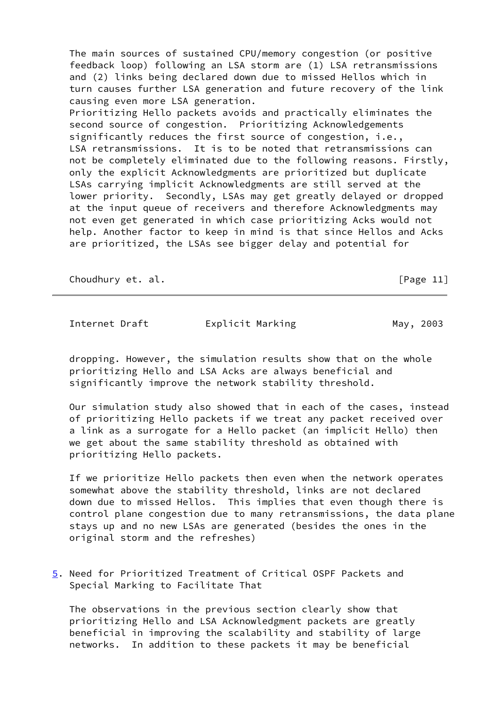The main sources of sustained CPU/memory congestion (or positive feedback loop) following an LSA storm are (1) LSA retransmissions and (2) links being declared down due to missed Hellos which in turn causes further LSA generation and future recovery of the link causing even more LSA generation. Prioritizing Hello packets avoids and practically eliminates the second source of congestion. Prioritizing Acknowledgements significantly reduces the first source of congestion, i.e., LSA retransmissions. It is to be noted that retransmissions can not be completely eliminated due to the following reasons. Firstly, only the explicit Acknowledgments are prioritized but duplicate LSAs carrying implicit Acknowledgments are still served at the lower priority. Secondly, LSAs may get greatly delayed or dropped at the input queue of receivers and therefore Acknowledgments may not even get generated in which case prioritizing Acks would not help. Another factor to keep in mind is that since Hellos and Acks are prioritized, the LSAs see bigger delay and potential for

Choudhury et. al. **Example 20** Shoudhury et. al. **Example 20** Shoudhury et. al. **Example 20 Shoudhury et.** al. **Example 20 Shoudhury et.** al. **Example 20 Shoudhury et.** al. **Example 20 Shoudhury et.** al. **Example 20 Shoudh** 

<span id="page-12-0"></span>Internet Draft **Explicit Marking May, 2003** 

 dropping. However, the simulation results show that on the whole prioritizing Hello and LSA Acks are always beneficial and significantly improve the network stability threshold.

 Our simulation study also showed that in each of the cases, instead of prioritizing Hello packets if we treat any packet received over a link as a surrogate for a Hello packet (an implicit Hello) then we get about the same stability threshold as obtained with prioritizing Hello packets.

 If we prioritize Hello packets then even when the network operates somewhat above the stability threshold, links are not declared down due to missed Hellos. This implies that even though there is control plane congestion due to many retransmissions, the data plane stays up and no new LSAs are generated (besides the ones in the original storm and the refreshes)

<span id="page-12-1"></span>[5](#page-12-1). Need for Prioritized Treatment of Critical OSPF Packets and Special Marking to Facilitate That

 The observations in the previous section clearly show that prioritizing Hello and LSA Acknowledgment packets are greatly beneficial in improving the scalability and stability of large networks. In addition to these packets it may be beneficial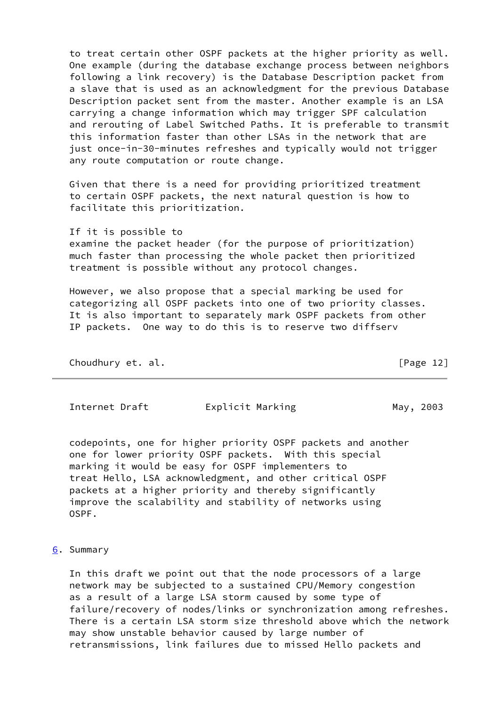to treat certain other OSPF packets at the higher priority as well. One example (during the database exchange process between neighbors following a link recovery) is the Database Description packet from a slave that is used as an acknowledgment for the previous Database Description packet sent from the master. Another example is an LSA carrying a change information which may trigger SPF calculation and rerouting of Label Switched Paths. It is preferable to transmit this information faster than other LSAs in the network that are just once-in-30-minutes refreshes and typically would not trigger any route computation or route change.

 Given that there is a need for providing prioritized treatment to certain OSPF packets, the next natural question is how to facilitate this prioritization.

 If it is possible to examine the packet header (for the purpose of prioritization) much faster than processing the whole packet then prioritized treatment is possible without any protocol changes.

 However, we also propose that a special marking be used for categorizing all OSPF packets into one of two priority classes. It is also important to separately mark OSPF packets from other IP packets. One way to do this is to reserve two diffserv

| Choudhury et. al. |  | [Page 12] |  |
|-------------------|--|-----------|--|
|-------------------|--|-----------|--|

<span id="page-13-1"></span>Internet Draft **Explicit Marking** May, 2003

 codepoints, one for higher priority OSPF packets and another one for lower priority OSPF packets. With this special marking it would be easy for OSPF implementers to treat Hello, LSA acknowledgment, and other critical OSPF packets at a higher priority and thereby significantly improve the scalability and stability of networks using OSPF.

### <span id="page-13-0"></span>[6](#page-13-0). Summary

 In this draft we point out that the node processors of a large network may be subjected to a sustained CPU/Memory congestion as a result of a large LSA storm caused by some type of failure/recovery of nodes/links or synchronization among refreshes. There is a certain LSA storm size threshold above which the network may show unstable behavior caused by large number of retransmissions, link failures due to missed Hello packets and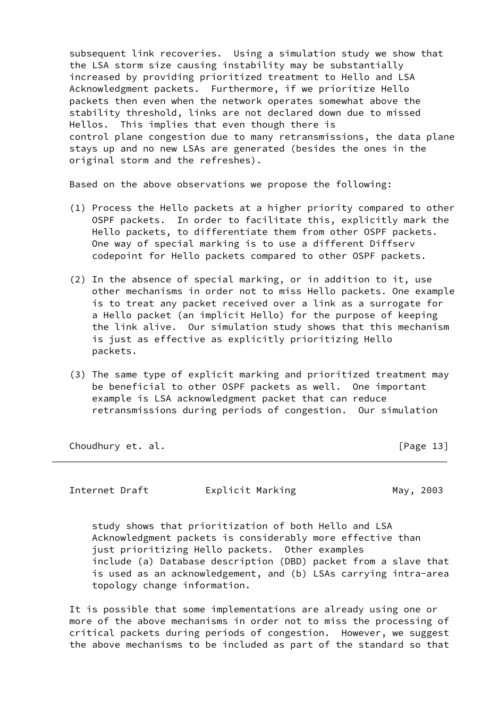subsequent link recoveries. Using a simulation study we show that the LSA storm size causing instability may be substantially increased by providing prioritized treatment to Hello and LSA Acknowledgment packets. Furthermore, if we prioritize Hello packets then even when the network operates somewhat above the stability threshold, links are not declared down due to missed Hellos. This implies that even though there is control plane congestion due to many retransmissions, the data plane stays up and no new LSAs are generated (besides the ones in the original storm and the refreshes).

Based on the above observations we propose the following:

- (1) Process the Hello packets at a higher priority compared to other OSPF packets. In order to facilitate this, explicitly mark the Hello packets, to differentiate them from other OSPF packets. One way of special marking is to use a different Diffserv codepoint for Hello packets compared to other OSPF packets.
- (2) In the absence of special marking, or in addition to it, use other mechanisms in order not to miss Hello packets. One example is to treat any packet received over a link as a surrogate for a Hello packet (an implicit Hello) for the purpose of keeping the link alive. Our simulation study shows that this mechanism is just as effective as explicitly prioritizing Hello packets.
- (3) The same type of explicit marking and prioritized treatment may be beneficial to other OSPF packets as well. One important example is LSA acknowledgment packet that can reduce retransmissions during periods of congestion. Our simulation

Choudhury et. al. **Example 20** and 20 and 20 and 20 and 20 and 20 and 20 and 20 and 20 and 20 and 20 and 20 and 20 and 20 and 20 and 20 and 20 and 20 and 20 and 20 and 20 and 20 and 20 and 20 and 20 and 20 and 20 and 20 an

<span id="page-14-0"></span>Internet Draft **Explicit Marking May, 2003** 

 study shows that prioritization of both Hello and LSA Acknowledgment packets is considerably more effective than just prioritizing Hello packets. Other examples include (a) Database description (DBD) packet from a slave that is used as an acknowledgement, and (b) LSAs carrying intra-area topology change information.

 It is possible that some implementations are already using one or more of the above mechanisms in order not to miss the processing of critical packets during periods of congestion. However, we suggest the above mechanisms to be included as part of the standard so that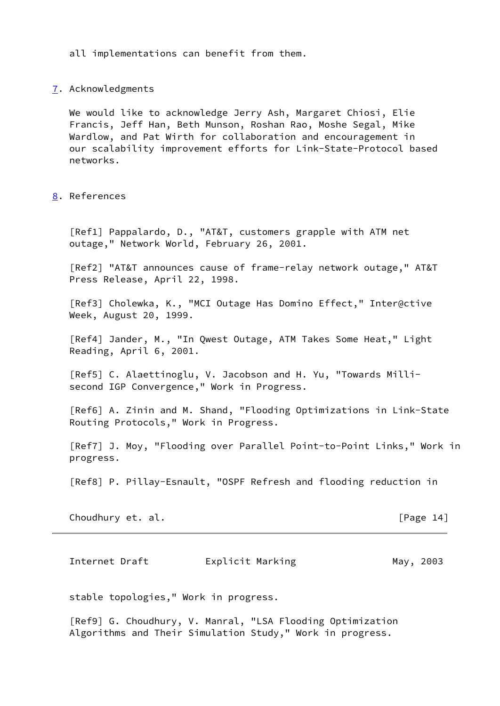all implementations can benefit from them.

### <span id="page-15-0"></span>[7](#page-15-0). Acknowledgments

 We would like to acknowledge Jerry Ash, Margaret Chiosi, Elie Francis, Jeff Han, Beth Munson, Roshan Rao, Moshe Segal, Mike Wardlow, and Pat Wirth for collaboration and encouragement in our scalability improvement efforts for Link-State-Protocol based networks.

<span id="page-15-1"></span>[8](#page-15-1). References

 [Ref1] Pappalardo, D., "AT&T, customers grapple with ATM net outage," Network World, February 26, 2001.

 [Ref2] "AT&T announces cause of frame-relay network outage," AT&T Press Release, April 22, 1998.

 [Ref3] Cholewka, K., "MCI Outage Has Domino Effect," Inter@ctive Week, August 20, 1999.

 [Ref4] Jander, M., "In Qwest Outage, ATM Takes Some Heat," Light Reading, April 6, 2001.

<span id="page-15-3"></span> [Ref5] C. Alaettinoglu, V. Jacobson and H. Yu, "Towards Milli second IGP Convergence," Work in Progress.

<span id="page-15-4"></span> [Ref6] A. Zinin and M. Shand, "Flooding Optimizations in Link-State Routing Protocols," Work in Progress.

<span id="page-15-5"></span> [Ref7] J. Moy, "Flooding over Parallel Point-to-Point Links," Work in progress.

<span id="page-15-6"></span>[Ref8] P. Pillay-Esnault, "OSPF Refresh and flooding reduction in

Choudhury et. al. **Example 20** and the set of the set of the set of the set of the set of the set of the set of the set of the set of the set of the set of the set of the set of the set of the set of the set of the set of

<span id="page-15-2"></span>Internet Draft **Explicit Marking Communist Contract Marking** May, 2003

stable topologies," Work in progress.

<span id="page-15-7"></span> [Ref9] G. Choudhury, V. Manral, "LSA Flooding Optimization Algorithms and Their Simulation Study," Work in progress.